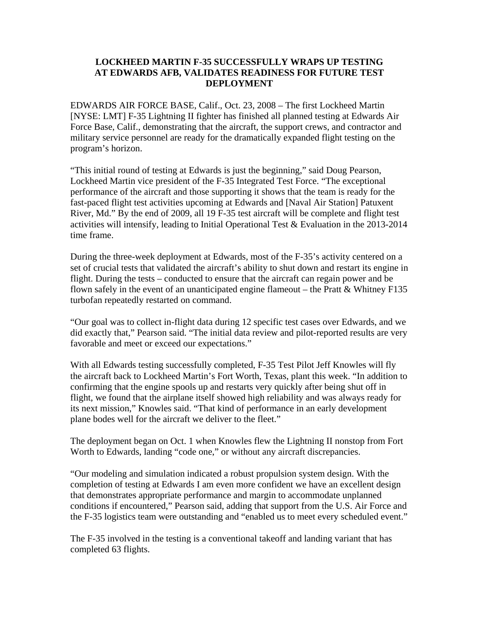## **LOCKHEED MARTIN F-35 SUCCESSFULLY WRAPS UP TESTING AT EDWARDS AFB, VALIDATES READINESS FOR FUTURE TEST DEPLOYMENT**

EDWARDS AIR FORCE BASE, Calif., Oct. 23, 2008 – The first Lockheed Martin [NYSE: LMT] F-35 Lightning II fighter has finished all planned testing at Edwards Air Force Base, Calif., demonstrating that the aircraft, the support crews, and contractor and military service personnel are ready for the dramatically expanded flight testing on the program's horizon.

"This initial round of testing at Edwards is just the beginning," said Doug Pearson, Lockheed Martin vice president of the F-35 Integrated Test Force. "The exceptional performance of the aircraft and those supporting it shows that the team is ready for the fast-paced flight test activities upcoming at Edwards and [Naval Air Station] Patuxent River, Md." By the end of 2009, all 19 F-35 test aircraft will be complete and flight test activities will intensify, leading to Initial Operational Test & Evaluation in the 2013-2014 time frame.

During the three-week deployment at Edwards, most of the F-35's activity centered on a set of crucial tests that validated the aircraft's ability to shut down and restart its engine in flight. During the tests – conducted to ensure that the aircraft can regain power and be flown safely in the event of an unanticipated engine flameout – the Pratt  $&$  Whitney F135 turbofan repeatedly restarted on command.

"Our goal was to collect in-flight data during 12 specific test cases over Edwards, and we did exactly that," Pearson said. "The initial data review and pilot-reported results are very favorable and meet or exceed our expectations."

With all Edwards testing successfully completed, F-35 Test Pilot Jeff Knowles will fly the aircraft back to Lockheed Martin's Fort Worth, Texas, plant this week. "In addition to confirming that the engine spools up and restarts very quickly after being shut off in flight, we found that the airplane itself showed high reliability and was always ready for its next mission," Knowles said. "That kind of performance in an early development plane bodes well for the aircraft we deliver to the fleet."

The deployment began on Oct. 1 when Knowles flew the Lightning II nonstop from Fort Worth to Edwards, landing "code one," or without any aircraft discrepancies.

"Our modeling and simulation indicated a robust propulsion system design. With the completion of testing at Edwards I am even more confident we have an excellent design that demonstrates appropriate performance and margin to accommodate unplanned conditions if encountered," Pearson said, adding that support from the U.S. Air Force and the F-35 logistics team were outstanding and "enabled us to meet every scheduled event."

The F-35 involved in the testing is a conventional takeoff and landing variant that has completed 63 flights.